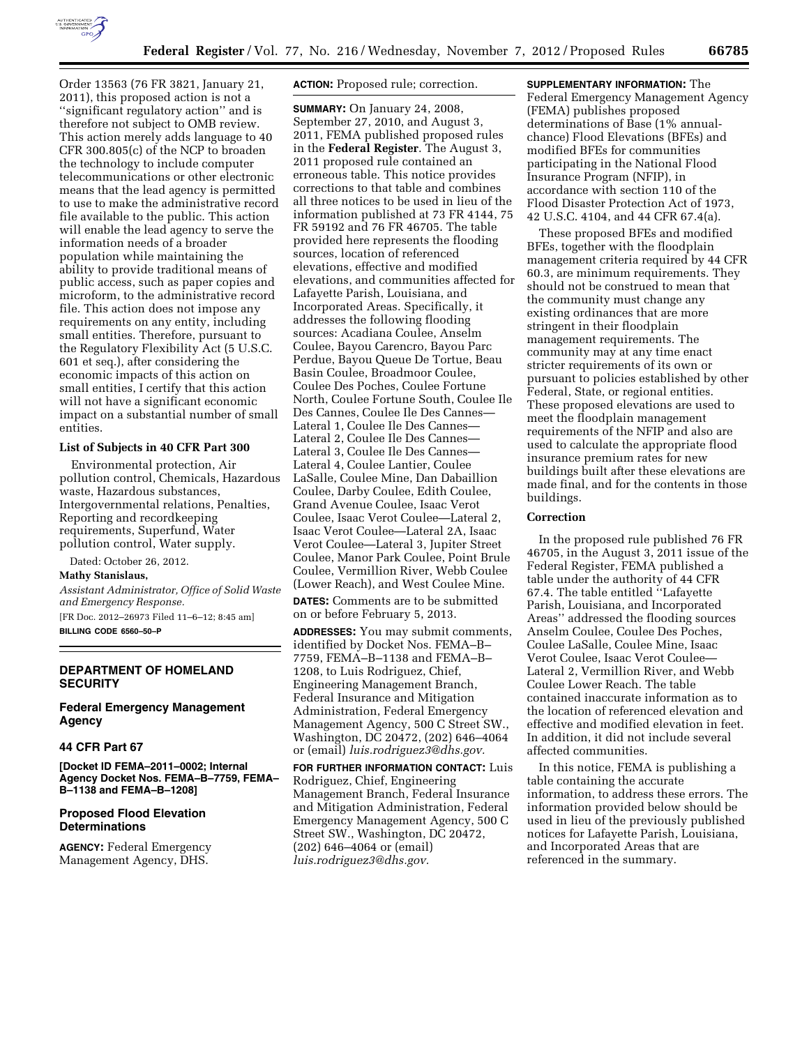

Order 13563 (76 FR 3821, January 21, 2011), this proposed action is not a ''significant regulatory action'' and is therefore not subject to OMB review. This action merely adds language to 40 CFR 300.805(c) of the NCP to broaden the technology to include computer telecommunications or other electronic means that the lead agency is permitted to use to make the administrative record file available to the public. This action will enable the lead agency to serve the information needs of a broader population while maintaining the ability to provide traditional means of public access, such as paper copies and microform, to the administrative record file. This action does not impose any requirements on any entity, including small entities. Therefore, pursuant to the Regulatory Flexibility Act (5 U.S.C. 601 et seq.), after considering the economic impacts of this action on small entities, I certify that this action will not have a significant economic impact on a substantial number of small entities.

### **List of Subjects in 40 CFR Part 300**

Environmental protection, Air pollution control, Chemicals, Hazardous waste, Hazardous substances, Intergovernmental relations, Penalties, Reporting and recordkeeping requirements, Superfund, Water pollution control, Water supply.

Dated: October 26, 2012.

### **Mathy Stanislaus,**

*Assistant Administrator, Office of Solid Waste and Emergency Response.*  [FR Doc. 2012–26973 Filed 11–6–12; 8:45 am] **BILLING CODE 6560–50–P** 

## **DEPARTMENT OF HOMELAND SECURITY**

**Federal Emergency Management Agency** 

# **44 CFR Part 67**

**[Docket ID FEMA–2011–0002; Internal Agency Docket Nos. FEMA–B–7759, FEMA– B–1138 and FEMA–B–1208]** 

# **Proposed Flood Elevation Determinations**

**AGENCY:** Federal Emergency Management Agency, DHS.

**ACTION:** Proposed rule; correction.

**SUMMARY:** On January 24, 2008, September 27, 2010, and August 3, 2011, FEMA published proposed rules in the **Federal Register**. The August 3, 2011 proposed rule contained an erroneous table. This notice provides corrections to that table and combines all three notices to be used in lieu of the information published at 73 FR 4144, 75 FR 59192 and 76 FR 46705. The table provided here represents the flooding sources, location of referenced elevations, effective and modified elevations, and communities affected for Lafayette Parish, Louisiana, and Incorporated Areas. Specifically, it addresses the following flooding sources: Acadiana Coulee, Anselm Coulee, Bayou Carencro, Bayou Parc Perdue, Bayou Queue De Tortue, Beau Basin Coulee, Broadmoor Coulee, Coulee Des Poches, Coulee Fortune North, Coulee Fortune South, Coulee Ile Des Cannes, Coulee Ile Des Cannes— Lateral 1, Coulee Ile Des Cannes— Lateral 2, Coulee Ile Des Cannes— Lateral 3, Coulee Ile Des Cannes— Lateral 4, Coulee Lantier, Coulee LaSalle, Coulee Mine, Dan Dabaillion Coulee, Darby Coulee, Edith Coulee, Grand Avenue Coulee, Isaac Verot Coulee, Isaac Verot Coulee—Lateral 2, Isaac Verot Coulee—Lateral 2A, Isaac Verot Coulee—Lateral 3, Jupiter Street Coulee, Manor Park Coulee, Point Brule Coulee, Vermillion River, Webb Coulee (Lower Reach), and West Coulee Mine.

**DATES:** Comments are to be submitted on or before February 5, 2013.

**ADDRESSES:** You may submit comments, identified by Docket Nos. FEMA–B– 7759, FEMA–B–1138 and FEMA–B– 1208, to Luis Rodriguez, Chief, Engineering Management Branch, Federal Insurance and Mitigation Administration, Federal Emergency Management Agency, 500 C Street SW., Washington, DC 20472, (202) 646–4064 or (email) *[luis.rodriguez3@dhs.gov.](mailto:luis.rodriguez3@dhs.gov)* 

**FOR FURTHER INFORMATION CONTACT:** Luis Rodriguez, Chief, Engineering Management Branch, Federal Insurance and Mitigation Administration, Federal Emergency Management Agency, 500 C Street SW., Washington, DC 20472, (202) 646–4064 or (email) *[luis.rodriguez3@dhs.gov.](mailto:luis.rodriguez3@dhs.gov)* 

**SUPPLEMENTARY INFORMATION:** The Federal Emergency Management Agency (FEMA) publishes proposed determinations of Base (1% annualchance) Flood Elevations (BFEs) and modified BFEs for communities participating in the National Flood Insurance Program (NFIP), in accordance with section 110 of the Flood Disaster Protection Act of 1973, 42 U.S.C. 4104, and 44 CFR 67.4(a).

These proposed BFEs and modified BFEs, together with the floodplain management criteria required by 44 CFR 60.3, are minimum requirements. They should not be construed to mean that the community must change any existing ordinances that are more stringent in their floodplain management requirements. The community may at any time enact stricter requirements of its own or pursuant to policies established by other Federal, State, or regional entities. These proposed elevations are used to meet the floodplain management requirements of the NFIP and also are used to calculate the appropriate flood insurance premium rates for new buildings built after these elevations are made final, and for the contents in those buildings.

### **Correction**

In the proposed rule published 76 FR 46705, in the August 3, 2011 issue of the Federal Register, FEMA published a table under the authority of 44 CFR 67.4. The table entitled ''Lafayette Parish, Louisiana, and Incorporated Areas'' addressed the flooding sources Anselm Coulee, Coulee Des Poches, Coulee LaSalle, Coulee Mine, Isaac Verot Coulee, Isaac Verot Coulee— Lateral 2, Vermillion River, and Webb Coulee Lower Reach. The table contained inaccurate information as to the location of referenced elevation and effective and modified elevation in feet. In addition, it did not include several affected communities.

In this notice, FEMA is publishing a table containing the accurate information, to address these errors. The information provided below should be used in lieu of the previously published notices for Lafayette Parish, Louisiana, and Incorporated Areas that are referenced in the summary.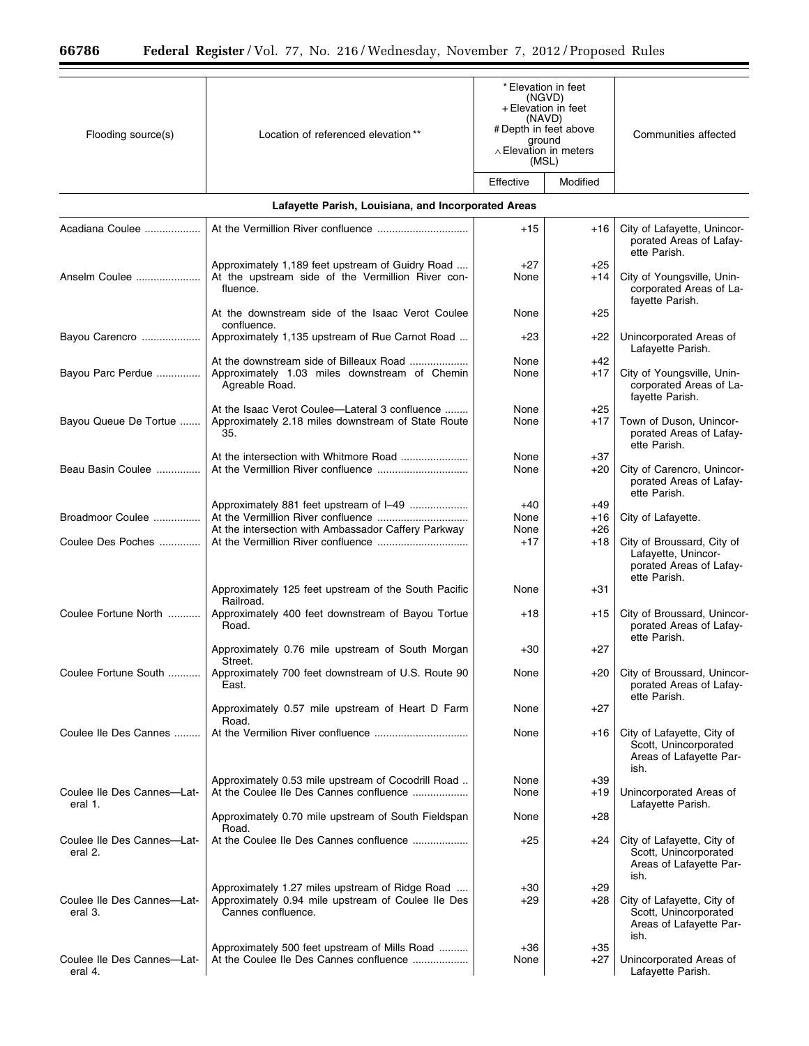| Flooding source(s)                    | Location of referenced elevation**                                                                                          | *Elevation in feet<br>(NGVD)<br>+ Elevation in feet<br>(NAVD)<br># Depth in feet above<br>ground<br>$\land$ Elevation in meters<br>(MSL) |                | Communities affected                                                                           |
|---------------------------------------|-----------------------------------------------------------------------------------------------------------------------------|------------------------------------------------------------------------------------------------------------------------------------------|----------------|------------------------------------------------------------------------------------------------|
|                                       |                                                                                                                             | Effective                                                                                                                                | Modified       |                                                                                                |
|                                       | Lafayette Parish, Louisiana, and Incorporated Areas                                                                         |                                                                                                                                          |                |                                                                                                |
|                                       |                                                                                                                             |                                                                                                                                          |                |                                                                                                |
| Acadiana Coulee                       |                                                                                                                             | +15                                                                                                                                      | $+16$          | City of Lafayette, Unincor-<br>porated Areas of Lafay-<br>ette Parish.                         |
| Anselm Coulee                         | Approximately 1,189 feet upstream of Guidry Road<br>At the upstream side of the Vermillion River con-<br>fluence.           | $+27$<br>None                                                                                                                            | $+25$<br>+14   | City of Youngsville, Unin-<br>corporated Areas of La-<br>fayette Parish.                       |
|                                       | At the downstream side of the Isaac Verot Coulee<br>confluence.                                                             | None                                                                                                                                     | $+25$          |                                                                                                |
| Bayou Carencro                        | Approximately 1,135 upstream of Rue Carnot Road                                                                             | +23                                                                                                                                      | $+22$          | Unincorporated Areas of<br>Lafayette Parish.                                                   |
| Bayou Parc Perdue                     | Approximately 1.03 miles downstream of Chemin                                                                               | None<br>None                                                                                                                             | $+42$<br>$+17$ | City of Youngsville, Unin-                                                                     |
|                                       | Agreable Road.                                                                                                              |                                                                                                                                          |                | corporated Areas of La-<br>fayette Parish.                                                     |
|                                       | At the Isaac Verot Coulee-Lateral 3 confluence                                                                              | None                                                                                                                                     | $+25$          |                                                                                                |
| Bayou Queue De Tortue                 | Approximately 2.18 miles downstream of State Route<br>35.                                                                   | None                                                                                                                                     | $+17$          | Town of Duson, Unincor-<br>porated Areas of Lafay-<br>ette Parish.                             |
|                                       |                                                                                                                             | None                                                                                                                                     | +37            |                                                                                                |
| Beau Basin Coulee                     |                                                                                                                             | None                                                                                                                                     | +20            | City of Carencro, Unincor-<br>porated Areas of Lafay-<br>ette Parish.                          |
|                                       | Approximately 881 feet upstream of I-49                                                                                     | $+40$                                                                                                                                    | +49            |                                                                                                |
| Broadmoor Coulee                      | At the intersection with Ambassador Caffery Parkway                                                                         | None<br>None                                                                                                                             | +16<br>+26     | City of Lafayette.                                                                             |
| Coulee Des Poches                     |                                                                                                                             | $+17$                                                                                                                                    | $+18$          | City of Broussard, City of<br>Lafayette, Unincor-<br>porated Areas of Lafay-<br>ette Parish.   |
|                                       | Approximately 125 feet upstream of the South Pacific                                                                        | None                                                                                                                                     | +31            |                                                                                                |
| Coulee Fortune North                  | Railroad.<br>Approximately 400 feet downstream of Bayou Tortue<br>Road.                                                     | +18                                                                                                                                      | $+15$          | City of Broussard, Unincor-<br>porated Areas of Lafay-                                         |
|                                       | Approximately 0.76 mile upstream of South Morgan<br>Street.                                                                 | $+30$                                                                                                                                    | $+27$          | ette Parish.                                                                                   |
| Coulee Fortune South                  | Approximately 700 feet downstream of U.S. Route 90<br>East.                                                                 | None                                                                                                                                     | $+20$          | City of Broussard, Unincor-<br>porated Areas of Lafay-<br>ette Parish.                         |
|                                       | Approximately 0.57 mile upstream of Heart D Farm<br>Road.                                                                   | None                                                                                                                                     | +27            |                                                                                                |
| Coulee Ile Des Cannes                 |                                                                                                                             | None                                                                                                                                     | +16            | City of Lafayette, City of<br>Scott, Unincorporated<br>Areas of Lafayette Par-<br>ish.         |
| Coulee Ile Des Cannes-Lat-<br>eral 1. | Approximately 0.53 mile upstream of Cocodrill Road<br>At the Coulee Ile Des Cannes confluence                               | None<br>None                                                                                                                             | $+39$<br>+19   | Unincorporated Areas of                                                                        |
|                                       | Approximately 0.70 mile upstream of South Fieldspan                                                                         | None                                                                                                                                     | +28            | Lafayette Parish.                                                                              |
| Coulee Ile Des Cannes-Lat-<br>eral 2. | Road.<br>At the Coulee Ile Des Cannes confluence                                                                            | +25                                                                                                                                      | +24            | City of Lafayette, City of<br>Scott, Unincorporated<br>Areas of Lafayette Par-                 |
| Coulee Ile Des Cannes-Lat-<br>eral 3. | Approximately 1.27 miles upstream of Ridge Road<br>Approximately 0.94 mile upstream of Coulee Ile Des<br>Cannes confluence. | +30<br>+29                                                                                                                               | $+29$<br>+28   | ish.<br>City of Lafayette, City of<br>Scott, Unincorporated<br>Areas of Lafayette Par-<br>ish. |
| Coulee Ile Des Cannes-Lat-<br>eral 4. | Approximately 500 feet upstream of Mills Road<br>At the Coulee Ile Des Cannes confluence                                    | +36<br>None                                                                                                                              | $+35$<br>+27   | Unincorporated Areas of<br>Lafayette Parish.                                                   |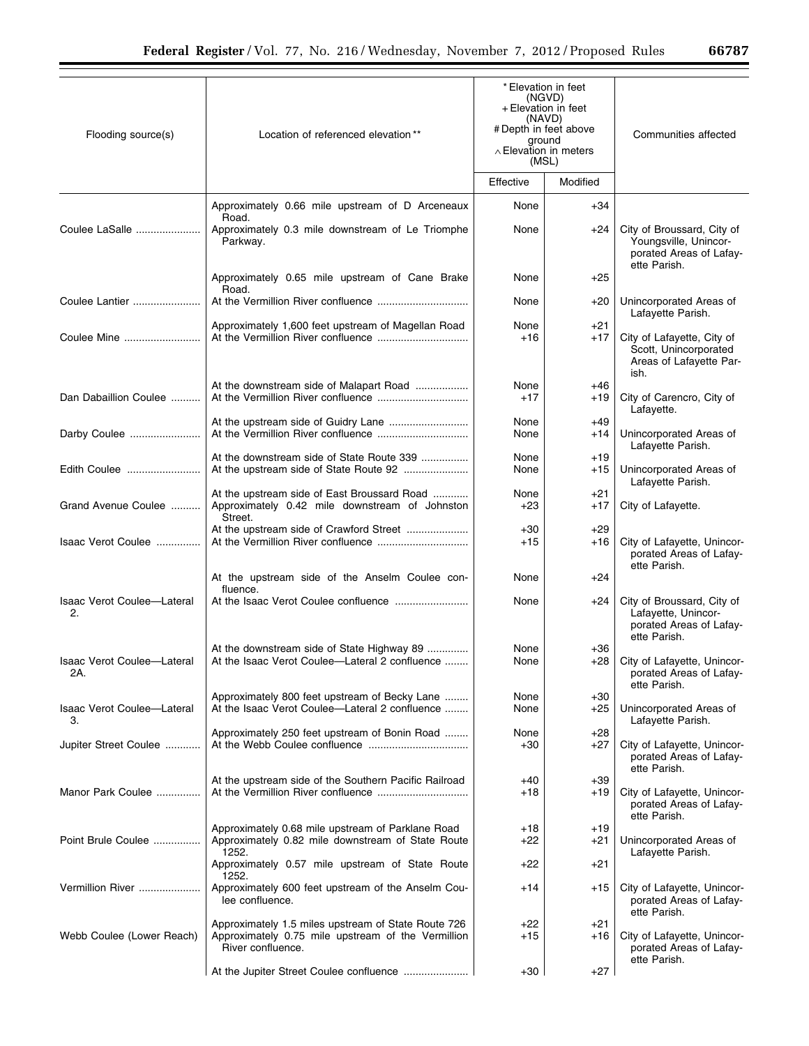| ъ<br>٠ | - - |  |  |
|--------|-----|--|--|
|--------|-----|--|--|

| Flooding source(s)                      | Location of referenced elevation**                                                                                             | *Elevation in feet<br>(NGVD)<br>+ Elevation in feet<br>(NAVD)<br># Depth in feet above<br>ground<br>$\land$ Elevation in meters<br>(MSL) |                | Communities affected                                                                           |
|-----------------------------------------|--------------------------------------------------------------------------------------------------------------------------------|------------------------------------------------------------------------------------------------------------------------------------------|----------------|------------------------------------------------------------------------------------------------|
|                                         |                                                                                                                                | Effective                                                                                                                                | Modified       |                                                                                                |
|                                         | Approximately 0.66 mile upstream of D Arceneaux<br>Road.                                                                       | None                                                                                                                                     | $+34$          |                                                                                                |
| Coulee LaSalle                          | Approximately 0.3 mile downstream of Le Triomphe<br>Parkway.                                                                   | None                                                                                                                                     | $+24$          | City of Broussard, City of<br>Youngsville, Unincor-<br>porated Areas of Lafay-<br>ette Parish. |
|                                         | Approximately 0.65 mile upstream of Cane Brake<br>Road.                                                                        | None                                                                                                                                     | $+25$          |                                                                                                |
| Coulee Lantier                          |                                                                                                                                | None                                                                                                                                     | +20            | Unincorporated Areas of<br>Lafayette Parish.                                                   |
| Coulee Mine                             | Approximately 1,600 feet upstream of Magellan Road                                                                             | None<br>+16                                                                                                                              | +21<br>$+17$   | City of Lafayette, City of<br>Scott, Unincorporated<br>Areas of Lafayette Par-<br>ish.         |
| Dan Dabaillion Coulee                   | At the downstream side of Malapart Road                                                                                        | None<br>$+17$                                                                                                                            | +46<br>$+19$   | City of Carencro, City of<br>Lafayette.                                                        |
| Darby Coulee                            |                                                                                                                                | None<br>None                                                                                                                             | $+49$<br>+14   | Unincorporated Areas of<br>Lafayette Parish.                                                   |
| Edith Coulee                            | At the downstream side of State Route 339<br>At the upstream side of State Route 92                                            | None<br>None                                                                                                                             | $+19$<br>+15   | Unincorporated Areas of<br>Lafayette Parish.                                                   |
| Grand Avenue Coulee                     | At the upstream side of East Broussard Road<br>Approximately 0.42 mile downstream of Johnston<br>Street.                       | None<br>+23                                                                                                                              | +21<br>$+17$   | City of Lafayette.                                                                             |
| Isaac Verot Coulee                      |                                                                                                                                | +30<br>+15                                                                                                                               | $+29$<br>$+16$ | City of Lafayette, Unincor-<br>porated Areas of Lafay-<br>ette Parish.                         |
|                                         | At the upstream side of the Anselm Coulee con-<br>fluence.                                                                     | None                                                                                                                                     | +24            |                                                                                                |
| <b>Isaac Verot Coulee-Lateral</b><br>2. |                                                                                                                                | None                                                                                                                                     | $+24$          | City of Broussard, City of<br>Lafayette, Unincor-<br>porated Areas of Lafay-<br>ette Parish.   |
| Isaac Verot Coulee-Lateral<br>2A.       | At the downstream side of State Highway 89<br>At the Isaac Verot Coulee-Lateral 2 confluence                                   | None<br>None                                                                                                                             | $+36$<br>+28   | City of Lafayette, Unincor-<br>porated Areas of Lafay-<br>ette Parish.                         |
| Isaac Verot Coulee-Lateral<br>З.        | Approximately 800 feet upstream of Becky Lane<br>At the Isaac Verot Coulee-Lateral 2 confluence                                | None<br>None                                                                                                                             | $+30$<br>$+25$ | Unincorporated Areas of<br>Lafayette Parish.                                                   |
| Jupiter Street Coulee                   | Approximately 250 feet upstream of Bonin Road                                                                                  | None<br>+30                                                                                                                              | $+28$<br>$+27$ | City of Lafayette, Unincor-<br>porated Areas of Lafay-<br>ette Parish.                         |
| Manor Park Coulee                       | At the upstream side of the Southern Pacific Railroad                                                                          | +40<br>+18                                                                                                                               | $+39$<br>+19   | City of Lafayette, Unincor-<br>porated Areas of Lafay-<br>ette Parish.                         |
| Point Brule Coulee                      | Approximately 0.68 mile upstream of Parklane Road<br>Approximately 0.82 mile downstream of State Route<br>1252.                | +18<br>+22                                                                                                                               | $+19$<br>+21   | Unincorporated Areas of<br>Lafayette Parish.                                                   |
|                                         | Approximately 0.57 mile upstream of State Route<br>1252.                                                                       | +22                                                                                                                                      | +21            |                                                                                                |
| Vermillion River                        | Approximately 600 feet upstream of the Anselm Cou-<br>lee confluence.                                                          | +14                                                                                                                                      | +15            | City of Lafayette, Unincor-<br>porated Areas of Lafay-<br>ette Parish.                         |
| Webb Coulee (Lower Reach)               | Approximately 1.5 miles upstream of State Route 726<br>Approximately 0.75 mile upstream of the Vermillion<br>River confluence. | +22<br>+15                                                                                                                               | $+21$<br>+16   | City of Lafayette, Unincor-<br>porated Areas of Lafay-<br>ette Parish.                         |
|                                         |                                                                                                                                | $+30$                                                                                                                                    | $+27$          |                                                                                                |